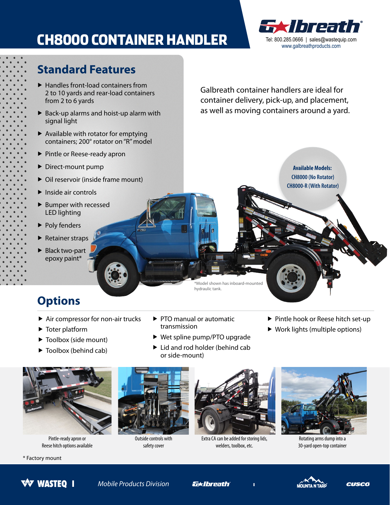# CH8000 CONTAINER HANDLER Tel: 800.285.0666 | sales@wastequip.com



**Available Models: CH8000 (No Rotator) CH8000-R (With Rotator)** 

#### **Standard Features**

- $\blacktriangleright$  Handles front-load containers from 2 to 10 yards and rear-load containers from 2 to 6 yards
- Back-up alarms and hoist-up alarm with signal light
- $\blacktriangleright$  Available with rotator for emptying containers; 200° rotator on "R" model
- ▶ Pintle or Reese-ready apron
- Direct-mount pump
- ▶ Oil reservoir (inside frame mount)
- $\blacktriangleright$  Inside air controls
- LED lighting ▶ Bumper with recessed
- Poly fenders
- Retainer straps
- Black two-part epoxy paint\*

Galbreath container handlers are ideal for container delivery, pick-up, and placement, as well as moving containers around a yard.

\*Model shown has inboard-mounted hydraulic tank.

### **Options**

- ▶ Air compressor for non-air trucks ▶ PTO manual or automatic ▶ Pintle hook or Reese hitch set-up
- 
- 
- 
- 
- Toolbox (side mount) Wet spline pump/PTO upgrade
- ▶ Toolbox (behind cab) **D** Lid and rod holder (behind cab or side-mount)
- 
- ▶ Toter platform **transmission Work lights (multiple options)**



Pintle-ready apron or Reese hitch options available



Outside controls with safety cover



Extra CA can be added for storing lids, welders, toolbox, etc.



Rotating arms dump into a 30-yard open-top container



\* Factory mount

*Mobile Products Division* 

*<u>Exibreath</u>*